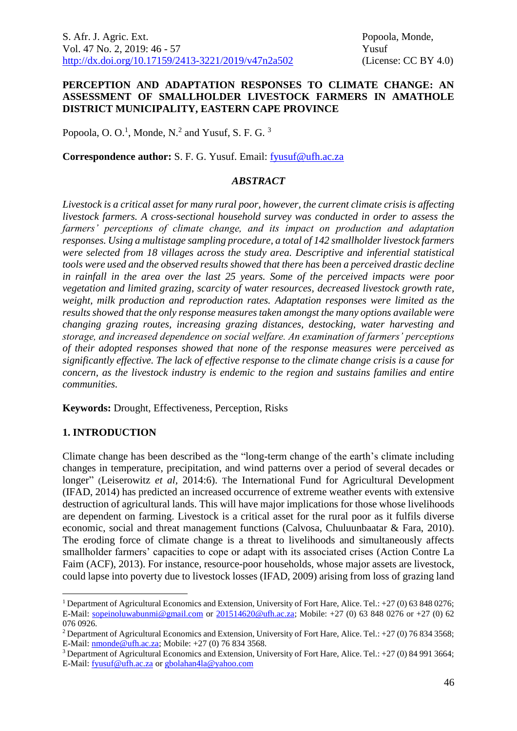### **PERCEPTION AND ADAPTATION RESPONSES TO CLIMATE CHANGE: AN ASSESSMENT OF SMALLHOLDER LIVESTOCK FARMERS IN AMATHOLE DISTRICT MUNICIPALITY, EASTERN CAPE PROVINCE**

Popoola, O. O.<sup>1</sup>, Monde, N.<sup>2</sup> and Yusuf, S. F. G.<sup>3</sup>

**Correspondence author:** S. F. G. Yusuf. Email: [fyusuf@ufh.ac.za](mailto:fyusuf@ufh.ac.za)

### *ABSTRACT*

*Livestock is a critical asset for many rural poor, however, the current climate crisis is affecting livestock farmers. A cross-sectional household survey was conducted in order to assess the farmers' perceptions of climate change, and its impact on production and adaptation responses. Using a multistage sampling procedure, a total of 142 smallholder livestock farmers were selected from 18 villages across the study area. Descriptive and inferential statistical tools were used and the observed results showed that there has been a perceived drastic decline in rainfall in the area over the last 25 years. Some of the perceived impacts were poor vegetation and limited grazing, scarcity of water resources, decreased livestock growth rate, weight, milk production and reproduction rates. Adaptation responses were limited as the results showed that the only response measures taken amongst the many options available were changing grazing routes, increasing grazing distances, destocking, water harvesting and storage, and increased dependence on social welfare. An examination of farmers' perceptions of their adopted responses showed that none of the response measures were perceived as significantly effective. The lack of effective response to the climate change crisis is a cause for concern, as the livestock industry is endemic to the region and sustains families and entire communities.*

**Keywords:** Drought, Effectiveness, Perception, Risks

### **1. INTRODUCTION**

1

Climate change has been described as the "long-term change of the earth's climate including changes in temperature, precipitation, and wind patterns over a period of several decades or longer" (Leiserowitz *et al.* 2014:6). The International Fund for Agricultural Development (IFAD, 2014) has predicted an increased occurrence of extreme weather events with extensive destruction of agricultural lands. This will have major implications for those whose livelihoods are dependent on farming. Livestock is a critical asset for the rural poor as it fulfils diverse economic, social and threat management functions (Calvosa, Chuluunbaatar & Fara, 2010). The eroding force of climate change is a threat to livelihoods and simultaneously affects smallholder farmers' capacities to cope or adapt with its associated crises (Action Contre La Faim (ACF), 2013). For instance, resource-poor households, whose major assets are livestock, could lapse into poverty due to livestock losses (IFAD, 2009) arising from loss of grazing land

<sup>&</sup>lt;sup>1</sup> Department of Agricultural Economics and Extension, University of Fort Hare, Alice. Tel.: +27 (0) 63 848 0276; E-Mail: [sopeinoluwabunmi@gmail.com](mailto:sopeinoluwabunmi@gmail.com) or [201514620@ufh.ac.za;](mailto:201514620@ufh.ac.za) Mobile: +27 (0) 63 848 0276 or +27 (0) 62 076 0926.

<sup>&</sup>lt;sup>2</sup> Department of Agricultural Economics and Extension, University of Fort Hare, Alice. Tel.: +27 (0) 76 834 3568; E-Mail: [nmonde@ufh.ac.za;](mailto:nmonde@ufh.ac.za) Mobile: +27 (0) 76 834 3568.

<sup>3</sup> Department of Agricultural Economics and Extension, University of Fort Hare, Alice. Tel.: +27 (0) 84 991 3664; E-Mail: [fyusuf@ufh.ac.za](mailto:fyusuf@ufh.ac.za) or [gbolahan4la@yahoo.com](mailto:gbolahan4la@yahoo.com)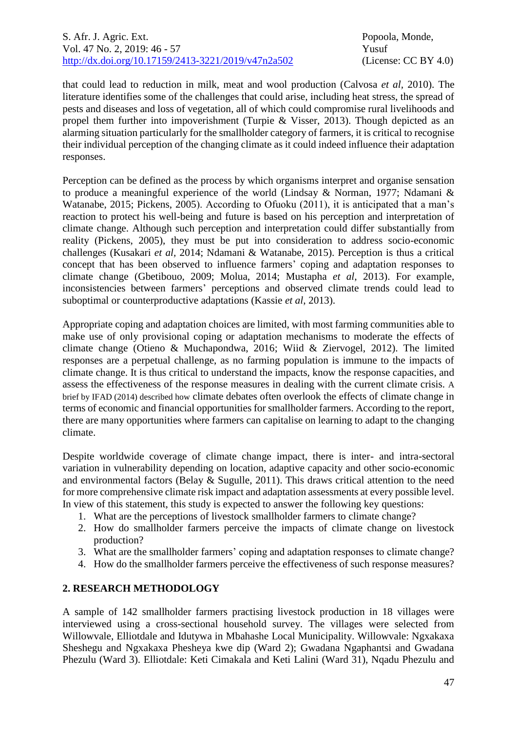that could lead to reduction in milk, meat and wool production (Calvosa *et al,* 2010). The literature identifies some of the challenges that could arise, including heat stress, the spread of pests and diseases and loss of vegetation, all of which could compromise rural livelihoods and propel them further into impoverishment (Turpie & Visser, 2013). Though depicted as an alarming situation particularly for the smallholder category of farmers, it is critical to recognise their individual perception of the changing climate as it could indeed influence their adaptation responses.

Perception can be defined as the process by which organisms interpret and organise sensation to produce a meaningful experience of the world (Lindsay & Norman, 1977; Ndamani & Watanabe, 2015; Pickens, 2005). According to Ofuoku (2011), it is anticipated that a man's reaction to protect his well-being and future is based on his perception and interpretation of climate change. Although such perception and interpretation could differ substantially from reality (Pickens, 2005), they must be put into consideration to address socio-economic challenges (Kusakari *et al,* 2014; Ndamani & Watanabe, 2015). Perception is thus a critical concept that has been observed to influence farmers' coping and adaptation responses to climate change (Gbetibouo, 2009; Molua, 2014; Mustapha *et al*, 2013). For example, inconsistencies between farmers' perceptions and observed climate trends could lead to suboptimal or counterproductive adaptations (Kassie *et al*, 2013).

Appropriate coping and adaptation choices are limited, with most farming communities able to make use of only provisional coping or adaptation mechanisms to moderate the effects of climate change (Otieno & Muchapondwa, 2016; Wiid & Ziervogel, 2012). The limited responses are a perpetual challenge, as no farming population is immune to the impacts of climate change. It is thus critical to understand the impacts, know the response capacities, and assess the effectiveness of the response measures in dealing with the current climate crisis. A brief by IFAD (2014) described how climate debates often overlook the effects of climate change in terms of economic and financial opportunities for smallholder farmers. According to the report, there are many opportunities where farmers can capitalise on learning to adapt to the changing climate.

Despite worldwide coverage of climate change impact, there is inter- and intra-sectoral variation in vulnerability depending on location, adaptive capacity and other socio-economic and environmental factors (Belay & Sugulle, 2011). This draws critical attention to the need for more comprehensive climate risk impact and adaptation assessments at every possible level. In view of this statement, this study is expected to answer the following key questions:

- 1. What are the perceptions of livestock smallholder farmers to climate change?
- 2. How do smallholder farmers perceive the impacts of climate change on livestock production?
- 3. What are the smallholder farmers' coping and adaptation responses to climate change?
- 4. How do the smallholder farmers perceive the effectiveness of such response measures?

## **2. RESEARCH METHODOLOGY**

A sample of 142 smallholder farmers practising livestock production in 18 villages were interviewed using a cross-sectional household survey. The villages were selected from Willowvale, Elliotdale and Idutywa in Mbahashe Local Municipality. Willowvale: Ngxakaxa Sheshegu and Ngxakaxa Phesheya kwe dip (Ward 2); Gwadana Ngaphantsi and Gwadana Phezulu (Ward 3). Elliotdale: Keti Cimakala and Keti Lalini (Ward 31), Nqadu Phezulu and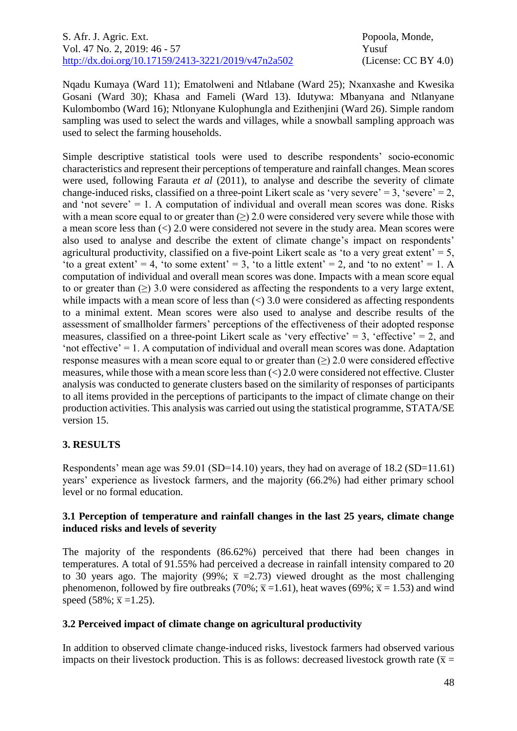Nqadu Kumaya (Ward 11); Ematolweni and Ntlabane (Ward 25); Nxanxashe and Kwesika Gosani (Ward 30); Khasa and Fameli (Ward 13). Idutywa: Mbanyana and Ntlanyane Kulombombo (Ward 16); Ntlonyane Kulophungla and Ezithenjini (Ward 26). Simple random sampling was used to select the wards and villages, while a snowball sampling approach was used to select the farming households.

Simple descriptive statistical tools were used to describe respondents' socio-economic characteristics and represent their perceptions of temperature and rainfall changes. Mean scores were used, following Farauta *et al* (2011), to analyse and describe the severity of climate change-induced risks, classified on a three-point Likert scale as 'very severe' = 3, 'severe' = 2, and 'not severe'  $= 1$ . A computation of individual and overall mean scores was done. Risks with a mean score equal to or greater than  $(> 0.2.0$  were considered very severe while those with a mean score less than (<) 2.0 were considered not severe in the study area. Mean scores were also used to analyse and describe the extent of climate change's impact on respondents' agricultural productivity, classified on a five-point Likert scale as 'to a very great extent' =  $5$ , 'to a great extent' = 4, 'to some extent' = 3, 'to a little extent' = 2, and 'to no extent' = 1. A computation of individual and overall mean scores was done. Impacts with a mean score equal to or greater than  $(\geq)$  3.0 were considered as affecting the respondents to a very large extent, while impacts with a mean score of less than  $\langle \rangle$  3.0 were considered as affecting respondents to a minimal extent. Mean scores were also used to analyse and describe results of the assessment of smallholder farmers' perceptions of the effectiveness of their adopted response measures, classified on a three-point Likert scale as 'very effective' = 3, 'effective' = 2, and 'not effective' = 1. A computation of individual and overall mean scores was done. Adaptation response measures with a mean score equal to or greater than (≥) 2.0 were considered effective measures, while those with a mean score less than (<) 2.0 were considered not effective. Cluster analysis was conducted to generate clusters based on the similarity of responses of participants to all items provided in the perceptions of participants to the impact of climate change on their production activities. This analysis was carried out using the statistical programme, STATA/SE version 15.

## **3. RESULTS**

Respondents' mean age was 59.01 (SD=14.10) years, they had on average of 18.2 (SD=11.61) years' experience as livestock farmers, and the majority (66.2%) had either primary school level or no formal education.

## **3.1 Perception of temperature and rainfall changes in the last 25 years, climate change induced risks and levels of severity**

The majority of the respondents (86.62%) perceived that there had been changes in temperatures. A total of 91.55% had perceived a decrease in rainfall intensity compared to 20 to 30 years ago. The majority (99%;  $\bar{x}$  =2.73) viewed drought as the most challenging phenomenon, followed by fire outbreaks (70%;  $\bar{x}$  = 1.61), heat waves (69%;  $\bar{x}$  = 1.53) and wind speed  $(58\%; \bar{x} = 1.25)$ .

## **3.2 Perceived impact of climate change on agricultural productivity**

In addition to observed climate change-induced risks, livestock farmers had observed various impacts on their livestock production. This is as follows: decreased livestock growth rate ( $\overline{x}$  =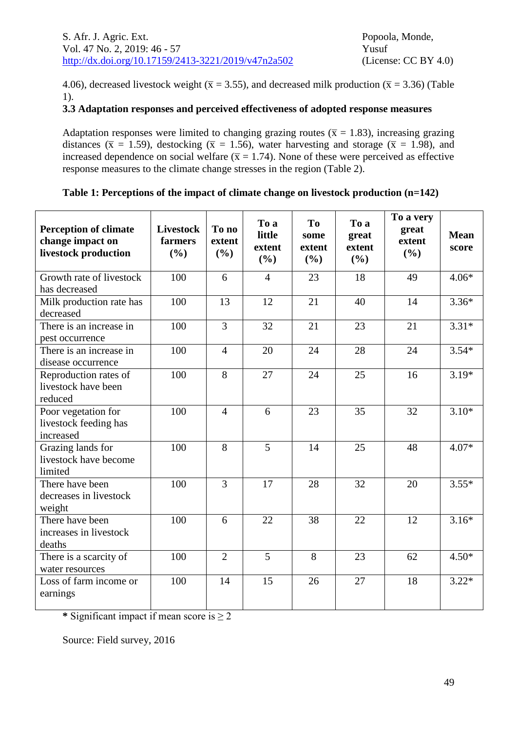4.06), decreased livestock weight ( $\bar{x}$  = 3.55), and decreased milk production ( $\bar{x}$  = 3.36) (Table 1).

## **3.3 Adaptation responses and perceived effectiveness of adopted response measures**

Adaptation responses were limited to changing grazing routes ( $\bar{x}$  = 1.83), increasing grazing distances ( $\bar{x}$  = 1.59), destocking ( $\bar{x}$  = 1.56), water harvesting and storage ( $\bar{x}$  = 1.98), and increased dependence on social welfare ( $\bar{x}$  = 1.74). None of these were perceived as effective response measures to the climate change stresses in the region (Table 2).

|  | Table 1: Perceptions of the impact of climate change on livestock production (n=142) |  |
|--|--------------------------------------------------------------------------------------|--|
|  |                                                                                      |  |

| <b>Perception of climate</b><br>change impact on<br>livestock production | <b>Livestock</b><br>farmers<br>(%) | To no<br>extent<br>(%) | To a<br>little<br>extent<br>(9/0) | T <sub>0</sub><br>some<br>extent<br>(%) | To a<br>great<br>extent<br>(%) | To a very<br>great<br>extent<br>(%) | <b>Mean</b><br>score |
|--------------------------------------------------------------------------|------------------------------------|------------------------|-----------------------------------|-----------------------------------------|--------------------------------|-------------------------------------|----------------------|
| Growth rate of livestock<br>has decreased                                | 100                                | 6                      | $\overline{4}$                    | 23                                      | 18                             | 49                                  | $4.06*$              |
| Milk production rate has<br>decreased                                    | 100                                | 13                     | 12                                | 21                                      | 40                             | 14                                  | $3.36*$              |
| There is an increase $\overline{in}$<br>pest occurrence                  | 100                                | 3                      | 32                                | 21                                      | 23                             | 21                                  | $3.31*$              |
| There is an increase in<br>disease occurrence                            | 100                                | $\overline{4}$         | 20                                | 24                                      | 28                             | 24                                  | $3.54*$              |
| Reproduction rates of<br>livestock have been<br>reduced                  | 100                                | 8                      | 27                                | 24                                      | 25                             | 16                                  | $3.19*$              |
| Poor vegetation for<br>livestock feeding has<br>increased                | 100                                | $\overline{4}$         | 6                                 | 23                                      | 35                             | 32                                  | $3.10*$              |
| Grazing lands for<br>livestock have become<br>limited                    | 100                                | 8                      | 5                                 | 14                                      | 25                             | 48                                  | 4.07*                |
| There have been<br>decreases in livestock<br>weight                      | 100                                | 3                      | 17                                | 28                                      | 32                             | 20                                  | $3.55*$              |
| There have been<br>increases in livestock<br>deaths                      | 100                                | 6                      | 22                                | 38                                      | 22                             | 12                                  | $3.16*$              |
| There is a scarcity of<br>water resources                                | 100                                | $\overline{2}$         | 5                                 | 8                                       | 23                             | 62                                  | $4.50*$              |
| Loss of farm income or<br>earnings                                       | 100                                | 14                     | 15                                | 26                                      | 27                             | 18                                  | $3.22*$              |

\* Significant impact if mean score is  $\geq 2$ 

Source: Field survey, 2016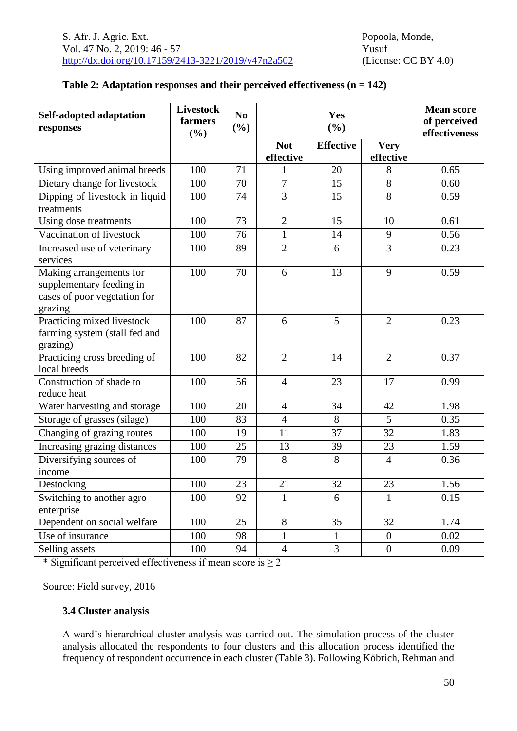#### **Table 2: Adaptation responses and their perceived effectiveness (n = 142)**

| Self-adopted adaptation<br>responses                                                           | <b>Livestock</b><br>farmers<br>(%) | N <sub>0</sub><br>(%) |                         | <b>Mean score</b><br>of perceived<br>effectiveness |                          |      |
|------------------------------------------------------------------------------------------------|------------------------------------|-----------------------|-------------------------|----------------------------------------------------|--------------------------|------|
|                                                                                                |                                    |                       | <b>Not</b><br>effective | <b>Effective</b>                                   | <b>Very</b><br>effective |      |
| Using improved animal breeds                                                                   | 100                                | 71                    |                         | 20                                                 | 8                        | 0.65 |
| Dietary change for livestock                                                                   | 100                                | 70                    | $\overline{7}$          | 15                                                 | 8                        | 0.60 |
| Dipping of livestock in liquid<br>treatments                                                   | 100                                | 74                    | 3                       | 15                                                 | 8                        | 0.59 |
| Using dose treatments                                                                          | 100                                | 73                    | $\overline{2}$          | 15                                                 | 10                       | 0.61 |
| Vaccination of livestock                                                                       | 100                                | 76                    | $\mathbf{1}$            | 14                                                 | 9                        | 0.56 |
| Increased use of veterinary<br>services                                                        | 100                                | 89                    | $\overline{2}$          | 6                                                  | $\overline{3}$           | 0.23 |
| Making arrangements for<br>supplementary feeding in<br>cases of poor vegetation for<br>grazing | 100                                | 70                    | 6                       | 13                                                 | 9                        | 0.59 |
| Practicing mixed livestock<br>farming system (stall fed and<br>grazing)                        | 100                                | 87                    | 6                       | $\overline{5}$                                     | $\overline{2}$           | 0.23 |
| Practicing cross breeding of<br>local breeds                                                   | 100                                | 82                    | $\overline{2}$          | 14                                                 | $\overline{2}$           | 0.37 |
| Construction of shade to<br>reduce heat                                                        | 100                                | 56                    | $\overline{4}$          | 23                                                 | 17                       | 0.99 |
| Water harvesting and storage                                                                   | 100                                | 20                    | $\overline{4}$          | 34                                                 | 42                       | 1.98 |
| Storage of grasses (silage)                                                                    | 100                                | 83                    | $\overline{4}$          | 8                                                  | 5                        | 0.35 |
| Changing of grazing routes                                                                     | 100                                | 19                    | 11                      | 37                                                 | 32                       | 1.83 |
| <b>Increasing grazing distances</b>                                                            | 100                                | 25                    | 13                      | 39                                                 | 23                       | 1.59 |
| Diversifying sources of<br>income                                                              | 100                                | 79                    | 8                       | 8                                                  | $\overline{4}$           | 0.36 |
| Destocking                                                                                     | 100                                | 23                    | 21                      | 32                                                 | 23                       | 1.56 |
| Switching to another agro<br>enterprise                                                        | 100                                | 92                    | 1                       | 6                                                  | 1                        | 0.15 |
| Dependent on social welfare                                                                    | 100                                | 25                    | 8                       | 35                                                 | 32                       | 1.74 |
| Use of insurance                                                                               | 100                                | 98                    | $\mathbf{1}$            | $\mathbf{1}$                                       | $\overline{0}$           | 0.02 |
| Selling assets                                                                                 | 100                                | 94                    | $\overline{4}$          | 3                                                  | $\overline{0}$           | 0.09 |

\* Significant perceived effectiveness if mean score is  $\geq 2$ 

Source: Field survey, 2016

### **3.4 Cluster analysis**

A ward's hierarchical cluster analysis was carried out. The simulation process of the cluster analysis allocated the respondents to four clusters and this allocation process identified the frequency of respondent occurrence in each cluster (Table 3). Following Köbrich, Rehman and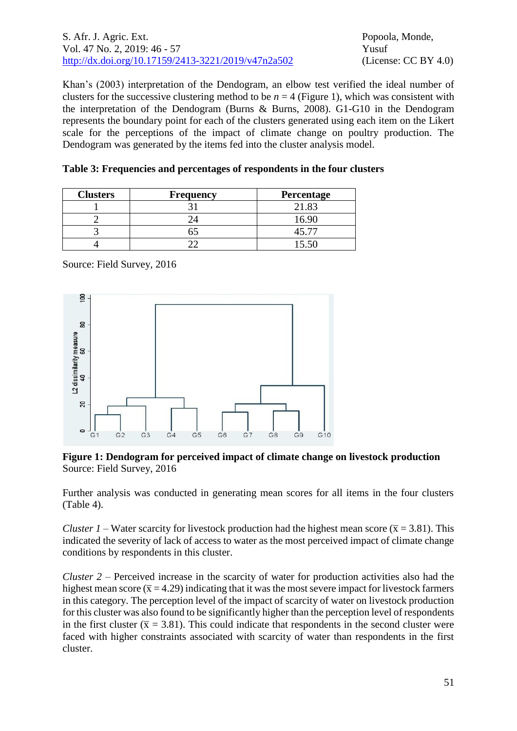S. Afr. J. Agric. Ext. Popoola, Monde, Vol. 47 No. 2, 2019: 46 - 57 Yusuf [http://dx.doi.org/10.17159/2413-3221/2019/v47n2a5](https://urldefense.proofpoint.com/v2/url?u=http-3A__dx.doi.org_10.17159_2413-2D3221_2019_v47n1a485&d=DwMFAg&c=vTCSeBKl9YZZHWJzz-zQUQ&r=2O1irMqrdumXAIE9PdSLREhTXj5iyPGEywcz8I6zQwI&m=niwmmhX1mCI8GpeJjK8D7j-v09hQgXHBu3LsS3Opojw&s=98o8gy8B6ly02TS5WoJvLScIQPXENi4ceK3R3c9Iu9c&e=)02 (License: CC BY 4.0)

Khan's (2003) interpretation of the Dendogram, an elbow test verified the ideal number of clusters for the successive clustering method to be  $n = 4$  (Figure 1), which was consistent with the interpretation of the Dendogram (Burns & Burns, 2008). G1-G10 in the Dendogram represents the boundary point for each of the clusters generated using each item on the Likert scale for the perceptions of the impact of climate change on poultry production. The Dendogram was generated by the items fed into the cluster analysis model.

| Table 3: Frequencies and percentages of respondents in the four clusters |  |  |  |
|--------------------------------------------------------------------------|--|--|--|
|--------------------------------------------------------------------------|--|--|--|

| <b>Clusters</b> | <b>Frequency</b> | Percentage |
|-----------------|------------------|------------|
|                 |                  |            |
|                 |                  | 6 Y        |
|                 |                  |            |
|                 |                  |            |

Source: Field Survey, 2016



**Figure 1: Dendogram for perceived impact of climate change on livestock production** Source: Field Survey, 2016

Further analysis was conducted in generating mean scores for all items in the four clusters (Table 4).

*Cluster 1* – Water scarcity for livestock production had the highest mean score ( $\bar{x}$  = 3.81). This indicated the severity of lack of access to water as the most perceived impact of climate change conditions by respondents in this cluster.

*Cluster 2* – Perceived increase in the scarcity of water for production activities also had the highest mean score ( $\bar{x}$  = 4.29) indicating that it was the most severe impact for livestock farmers in this category. The perception level of the impact of scarcity of water on livestock production for this cluster was also found to be significantly higher than the perception level of respondents in the first cluster ( $\bar{x}$  = 3.81). This could indicate that respondents in the second cluster were faced with higher constraints associated with scarcity of water than respondents in the first cluster.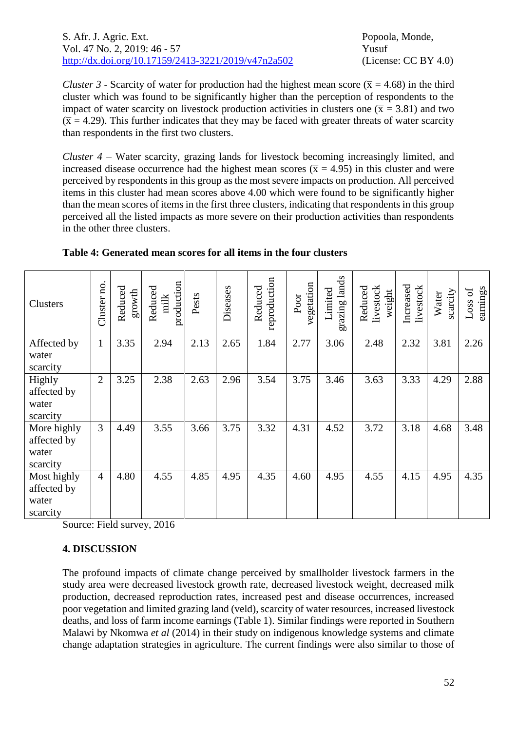*Cluster 3* - Scarcity of water for production had the highest mean score ( $\bar{x}$  = 4.68) in the third cluster which was found to be significantly higher than the perception of respondents to the impact of water scarcity on livestock production activities in clusters one ( $\bar{x}$  = 3.81) and two  $(\bar{x} = 4.29)$ . This further indicates that they may be faced with greater threats of water scarcity than respondents in the first two clusters.

*Cluster 4* – Water scarcity, grazing lands for livestock becoming increasingly limited, and increased disease occurrence had the highest mean scores ( $\bar{x}$  = 4.95) in this cluster and were perceived by respondents in this group as the most severe impacts on production. All perceived items in this cluster had mean scores above 4.00 which were found to be significantly higher than the mean scores of items in the first three clusters, indicating that respondents in this group perceived all the listed impacts as more severe on their production activities than respondents in the other three clusters.

| <b>Clusters</b>                                 | Cluster no.    | Reduced<br>growth | production<br>Reduced<br>milk | Pests | Diseases | reproduction<br>Reduced | vegetation<br>Poor | grazing lands<br>Limited | livestock<br>Reduced<br>weight | Increased<br>livestock | scarcity<br>Water | earnings<br>$\sigma$<br>Loss |
|-------------------------------------------------|----------------|-------------------|-------------------------------|-------|----------|-------------------------|--------------------|--------------------------|--------------------------------|------------------------|-------------------|------------------------------|
| Affected by                                     | $\mathbf{1}$   | 3.35              | 2.94                          | 2.13  | 2.65     | 1.84                    | 2.77               | 3.06                     | 2.48                           | 2.32                   | 3.81              | 2.26                         |
| water<br>scarcity                               |                |                   |                               |       |          |                         |                    |                          |                                |                        |                   |                              |
| Highly<br>affected by<br>water<br>scarcity      | $\overline{2}$ | 3.25              | 2.38                          | 2.63  | 2.96     | 3.54                    | 3.75               | 3.46                     | 3.63                           | 3.33                   | 4.29              | 2.88                         |
| More highly<br>affected by<br>water<br>scarcity | 3              | 4.49              | 3.55                          | 3.66  | 3.75     | 3.32                    | 4.31               | 4.52                     | 3.72                           | 3.18                   | 4.68              | 3.48                         |
| Most highly<br>affected by<br>water<br>scarcity | $\overline{4}$ | 4.80              | 4.55                          | 4.85  | 4.95     | 4.35                    | 4.60               | 4.95                     | 4.55                           | 4.15                   | 4.95              | 4.35                         |

## **Table 4: Generated mean scores for all items in the four clusters**

Source: Field survey, 2016

# **4. DISCUSSION**

The profound impacts of climate change perceived by smallholder livestock farmers in the study area were decreased livestock growth rate, decreased livestock weight, decreased milk production, decreased reproduction rates, increased pest and disease occurrences, increased poor vegetation and limited grazing land (veld), scarcity of water resources, increased livestock deaths, and loss of farm income earnings (Table 1). Similar findings were reported in Southern Malawi by Nkomwa *et al* (2014) in their study on indigenous knowledge systems and climate change adaptation strategies in agriculture. The current findings were also similar to those of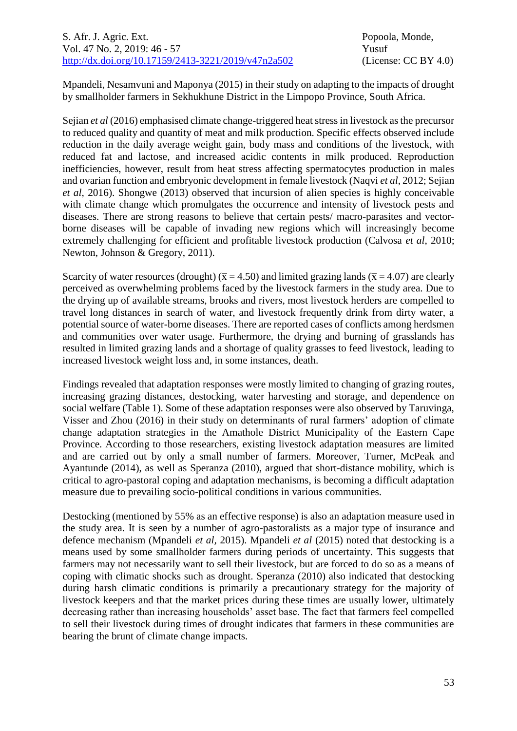Mpandeli, Nesamvuni and Maponya (2015) in their study on adapting to the impacts of drought by smallholder farmers in Sekhukhune District in the Limpopo Province, South Africa.

Sejian *et al* (2016) emphasised climate change-triggered heat stress in livestock as the precursor to reduced quality and quantity of meat and milk production. Specific effects observed include reduction in the daily average weight gain, body mass and conditions of the livestock, with reduced fat and lactose, and increased acidic contents in milk produced. Reproduction inefficiencies, however, result from heat stress affecting spermatocytes production in males and ovarian function and embryonic development in female livestock (Naqvi *et al*, 2012; Sejian *et al*, 2016). Shongwe (2013) observed that incursion of alien species is highly conceivable with climate change which promulgates the occurrence and intensity of livestock pests and diseases. There are strong reasons to believe that certain pests/ macro-parasites and vectorborne diseases will be capable of invading new regions which will increasingly become extremely challenging for efficient and profitable livestock production (Calvosa *et al*, 2010; Newton, Johnson & Gregory, 2011).

Scarcity of water resources (drought)  $(\bar{x} = 4.50)$  and limited grazing lands  $(\bar{x} = 4.07)$  are clearly perceived as overwhelming problems faced by the livestock farmers in the study area. Due to the drying up of available streams, brooks and rivers, most livestock herders are compelled to travel long distances in search of water, and livestock frequently drink from dirty water, a potential source of water-borne diseases. There are reported cases of conflicts among herdsmen and communities over water usage. Furthermore, the drying and burning of grasslands has resulted in limited grazing lands and a shortage of quality grasses to feed livestock, leading to increased livestock weight loss and, in some instances, death.

Findings revealed that adaptation responses were mostly limited to changing of grazing routes, increasing grazing distances, destocking, water harvesting and storage, and dependence on social welfare (Table 1). Some of these adaptation responses were also observed by Taruvinga, Visser and Zhou (2016) in their study on determinants of rural farmers' adoption of climate change adaptation strategies in the Amathole District Municipality of the Eastern Cape Province. According to those researchers, existing livestock adaptation measures are limited and are carried out by only a small number of farmers. Moreover, Turner, McPeak and Ayantunde (2014), as well as Speranza (2010), argued that short-distance mobility, which is critical to agro-pastoral coping and adaptation mechanisms, is becoming a difficult adaptation measure due to prevailing socio-political conditions in various communities.

Destocking (mentioned by 55% as an effective response) is also an adaptation measure used in the study area. It is seen by a number of agro-pastoralists as a major type of insurance and defence mechanism (Mpandeli *et al,* 2015). Mpandeli *et al* (2015) noted that destocking is a means used by some smallholder farmers during periods of uncertainty. This suggests that farmers may not necessarily want to sell their livestock, but are forced to do so as a means of coping with climatic shocks such as drought. Speranza (2010) also indicated that destocking during harsh climatic conditions is primarily a precautionary strategy for the majority of livestock keepers and that the market prices during these times are usually lower, ultimately decreasing rather than increasing households' asset base. The fact that farmers feel compelled to sell their livestock during times of drought indicates that farmers in these communities are bearing the brunt of climate change impacts.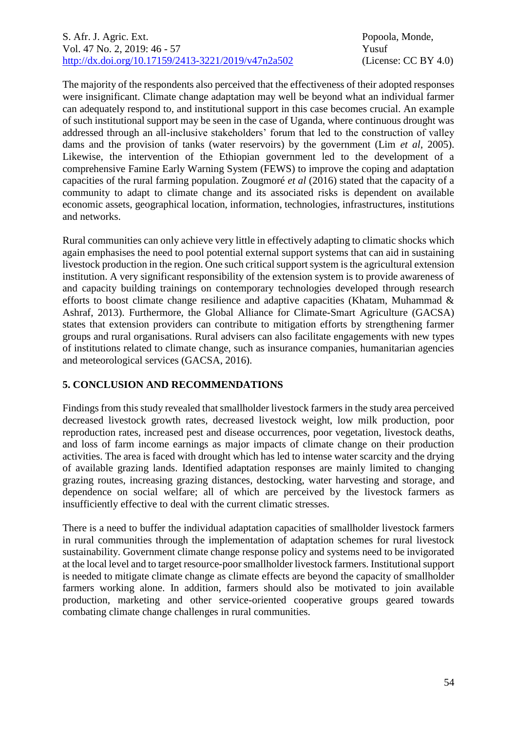The majority of the respondents also perceived that the effectiveness of their adopted responses were insignificant. Climate change adaptation may well be beyond what an individual farmer can adequately respond to, and institutional support in this case becomes crucial. An example of such institutional support may be seen in the case of Uganda, where continuous drought was addressed through an all-inclusive stakeholders' forum that led to the construction of valley dams and the provision of tanks (water reservoirs) by the government (Lim *et al*, 2005). Likewise, the intervention of the Ethiopian government led to the development of a comprehensive Famine Early Warning System (FEWS) to improve the coping and adaptation capacities of the rural farming population. Zougmoré *et al* (2016) stated that the capacity of a community to adapt to climate change and its associated risks is dependent on available economic assets, geographical location, information, technologies, infrastructures, institutions and networks.

Rural communities can only achieve very little in effectively adapting to climatic shocks which again emphasises the need to pool potential external support systems that can aid in sustaining livestock production in the region. One such critical support system is the agricultural extension institution. A very significant responsibility of the extension system is to provide awareness of and capacity building trainings on contemporary technologies developed through research efforts to boost climate change resilience and adaptive capacities (Khatam, Muhammad & Ashraf, 2013). Furthermore, the Global Alliance for Climate-Smart Agriculture (GACSA) states that extension providers can contribute to mitigation efforts by strengthening farmer groups and rural organisations. Rural advisers can also facilitate engagements with new types of institutions related to climate change, such as insurance companies, humanitarian agencies and meteorological services (GACSA, 2016).

## **5. CONCLUSION AND RECOMMENDATIONS**

Findings from this study revealed that smallholder livestock farmers in the study area perceived decreased livestock growth rates, decreased livestock weight, low milk production, poor reproduction rates, increased pest and disease occurrences, poor vegetation, livestock deaths, and loss of farm income earnings as major impacts of climate change on their production activities. The area is faced with drought which has led to intense water scarcity and the drying of available grazing lands. Identified adaptation responses are mainly limited to changing grazing routes, increasing grazing distances, destocking, water harvesting and storage, and dependence on social welfare; all of which are perceived by the livestock farmers as insufficiently effective to deal with the current climatic stresses.

There is a need to buffer the individual adaptation capacities of smallholder livestock farmers in rural communities through the implementation of adaptation schemes for rural livestock sustainability. Government climate change response policy and systems need to be invigorated at the local level and to target resource-poor smallholder livestock farmers. Institutional support is needed to mitigate climate change as climate effects are beyond the capacity of smallholder farmers working alone. In addition, farmers should also be motivated to join available production, marketing and other service-oriented cooperative groups geared towards combating climate change challenges in rural communities.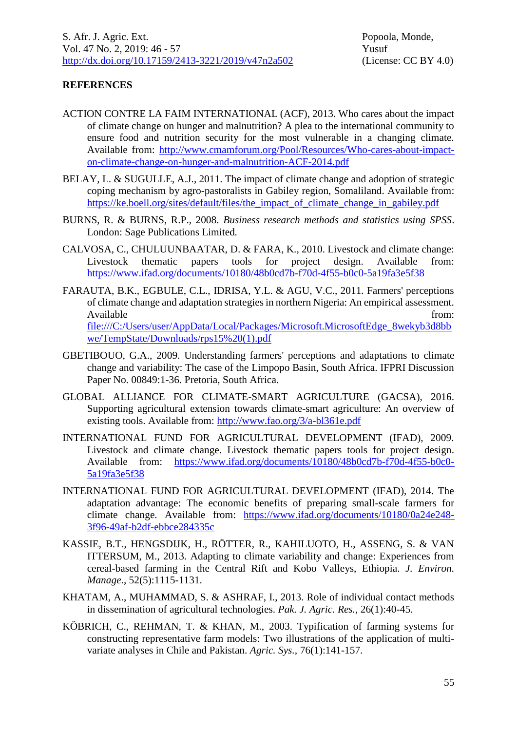## **REFERENCES**

- ACTION CONTRE LA FAIM INTERNATIONAL (ACF), 2013. Who cares about the impact of climate change on hunger and malnutrition? A plea to the international community to ensure food and nutrition security for the most vulnerable in a changing climate. Available from: [http://www.cmamforum.org/Pool/Resources/Who-cares-about-impact](http://www.cmamforum.org/Pool/Resources/Who-cares-about-impact-on-climate-change-on-hunger-and-malnutrition-ACF-2014.pdf)[on-climate-change-on-hunger-and-malnutrition-ACF-2014.pdf](http://www.cmamforum.org/Pool/Resources/Who-cares-about-impact-on-climate-change-on-hunger-and-malnutrition-ACF-2014.pdf)
- BELAY, L. & SUGULLE, A.J., 2011. The impact of climate change and adoption of strategic coping mechanism by agro-pastoralists in Gabiley region, Somaliland. Available from: [https://ke.boell.org/sites/default/files/the\\_impact\\_of\\_climate\\_change\\_in\\_gabiley.pdf](https://ke.boell.org/sites/default/files/the_impact_of_climate_change_in_gabiley.pdf)
- BURNS, R. & BURNS, R.P., 2008. *Business research methods and statistics using SPSS*. London: Sage Publications Limited*.*
- CALVOSA, C., CHULUUNBAATAR, D. & FARA, K., 2010. Livestock and climate change: Livestock thematic papers tools for project design. Available from: <https://www.ifad.org/documents/10180/48b0cd7b-f70d-4f55-b0c0-5a19fa3e5f38>
- FARAUTA, B.K., EGBULE, C.L., IDRISA, Y.L. & AGU, V.C., 2011. Farmers' perceptions of climate change and adaptation strategies in northern Nigeria: An empirical assessment. Available from: [file:///C:/Users/user/AppData/Local/Packages/Microsoft.MicrosoftEdge\\_8wekyb3d8bb](file:///C:/Users/user/AppData/Local/Packages/Microsoft.MicrosoftEdge_8wekyb3d8bbwe/TempState/Downloads/rps15%20(1).pdf) [we/TempState/Downloads/rps15%20\(1\).pdf](file:///C:/Users/user/AppData/Local/Packages/Microsoft.MicrosoftEdge_8wekyb3d8bbwe/TempState/Downloads/rps15%20(1).pdf)
- GBETIBOUO, G.A., 2009. Understanding farmers' perceptions and adaptations to climate change and variability: The case of the Limpopo Basin, South Africa. IFPRI Discussion Paper No. 00849:1-36. Pretoria, South Africa.
- GLOBAL ALLIANCE FOR CLIMATE-SMART AGRICULTURE (GACSA), 2016. Supporting agricultural extension towards climate-smart agriculture: An overview of existing tools. Available from:<http://www.fao.org/3/a-bl361e.pdf>
- INTERNATIONAL FUND FOR AGRICULTURAL DEVELOPMENT (IFAD), 2009. Livestock and climate change. Livestock thematic papers tools for project design. Available from: [https://www.ifad.org/documents/10180/48b0cd7b-f70d-4f55-b0c0-](https://www.ifad.org/documents/10180/48b0cd7b-f70d-4f55-b0c0-5a19fa3e5f38) [5a19fa3e5f38](https://www.ifad.org/documents/10180/48b0cd7b-f70d-4f55-b0c0-5a19fa3e5f38)
- INTERNATIONAL FUND FOR AGRICULTURAL DEVELOPMENT (IFAD), 2014. The adaptation advantage: The economic benefits of preparing small-scale farmers for climate change. Available from: [https://www.ifad.org/documents/10180/0a24e248-](https://www.ifad.org/documents/10180/0a24e248-3f96-49af-b2df-ebbce284335c) [3f96-49af-b2df-ebbce284335c](https://www.ifad.org/documents/10180/0a24e248-3f96-49af-b2df-ebbce284335c)
- KASSIE, B.T., HENGSDIJK, H., RÖTTER, R., KAHILUOTO, H., ASSENG, S. & VAN ITTERSUM, M., 2013. Adapting to climate variability and change: Experiences from cereal-based farming in the Central Rift and Kobo Valleys, Ethiopia. *J. Environ. Manage*., 52(5):1115-1131.
- KHATAM, A., MUHAMMAD, S. & ASHRAF, I., 2013. Role of individual contact methods in dissemination of agricultural technologies. *Pak. J. Agric. Res.,* 26(1):40-45.
- KÖBRICH, C., REHMAN, T. & KHAN, M., 2003. Typification of farming systems for constructing representative farm models: Two illustrations of the application of multivariate analyses in Chile and Pakistan. *Agric. Sys.,* 76(1):141-157.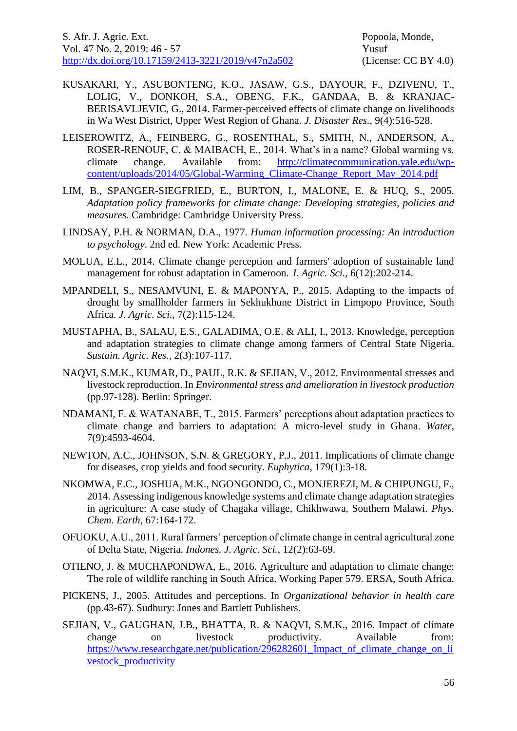- KUSAKARI, Y., ASUBONTENG, K.O., JASAW, G.S., DAYOUR, F., DZIVENU, T., LOLIG, V., DONKOH, S.A., OBENG, F.K., GANDAA, B. & KRANJAC-BERISAVLJEVIC, G., 2014. Farmer-perceived effects of climate change on livelihoods in Wa West District, Upper West Region of Ghana. *J. Disaster Res.,* 9(4):516-528.
- LEISEROWITZ, A., FEINBERG, G., ROSENTHAL, S., SMITH, N., ANDERSON, A., ROSER-RENOUF, C. & MAIBACH, E., 2014. What's in a name? Global warming vs. climate change. Available from: [http://climatecommunication.yale.edu/wp](http://climatecommunication.yale.edu/wp-content/uploads/2014/05/Global-Warming_Climate-Change_Report_May_2014.pdf)[content/uploads/2014/05/Global-Warming\\_Climate-Change\\_Report\\_May\\_2014.pdf](http://climatecommunication.yale.edu/wp-content/uploads/2014/05/Global-Warming_Climate-Change_Report_May_2014.pdf)
- LIM, B., SPANGER-SIEGFRIED, E., BURTON, I., MALONE, E. & HUQ, S., 2005. *Adaptation policy frameworks for climate change: Developing strategies, policies and measures*. Cambridge: Cambridge University Press.
- LINDSAY, P.H. & NORMAN, D.A., 1977. *Human information processing: An introduction to psychology*. 2nd ed. New York: Academic Press.
- MOLUA, E.L., 2014. Climate change perception and farmers' adoption of sustainable land management for robust adaptation in Cameroon. *J. Agric. Sci.*, 6(12):202-214.
- MPANDELI, S., NESAMVUNI, E. & MAPONYA, P., 2015. Adapting to the impacts of drought by smallholder farmers in Sekhukhune District in Limpopo Province, South Africa. *J. Agric. Sci.*, 7(2):115-124.
- MUSTAPHA, B., SALAU, E.S., GALADIMA, O.E. & ALI, I., 2013. Knowledge, perception and adaptation strategies to climate change among farmers of Central State Nigeria. *Sustain. Agric. Res.,* 2(3):107-117.
- NAQVI, S.M.K., KUMAR, D., PAUL, R.K. & SEJIAN, V., 2012. Environmental stresses and livestock reproduction. In *Environmental stress and amelioration in livestock production* (pp.97-128). Berlin: Springer.
- NDAMANI, F. & WATANABE, T., 2015. Farmers' perceptions about adaptation practices to climate change and barriers to adaptation: A micro-level study in Ghana. *Water*, 7(9):4593-4604.
- NEWTON, A.C., JOHNSON, S.N. & GREGORY, P.J., 2011. Implications of climate change for diseases, crop yields and food security. *Euphytica*, 179(1):3-18.
- NKOMWA, E.C., JOSHUA, M.K., NGONGONDO, C., MONJEREZI, M. & CHIPUNGU, F., 2014. Assessing indigenous knowledge systems and climate change adaptation strategies in agriculture: A case study of Chagaka village, Chikhwawa, Southern Malawi. *Phys. Chem. Earth,* 67:164-172.
- OFUOKU, A.U., 2011. Rural farmers' perception of climate change in central agricultural zone of Delta State, Nigeria. *Indones. J. Agric. Sci.*, 12(2):63-69.
- OTIENO, J. & MUCHAPONDWA, E., 2016*.* Agriculture and adaptation to climate change: The role of wildlife ranching in South Africa. Working Paper 579. ERSA, South Africa.
- PICKENS, J., 2005. Attitudes and perceptions. In *Organizational behavior in health care* (pp.43-67). Sudbury: Jones and Bartlett Publishers.
- SEJIAN, V., GAUGHAN, J.B., BHATTA, R. & NAQVI, S.M.K., 2016. Impact of climate change on livestock productivity. Available from: https://www.researchgate.net/publication/296282601 Impact of climate change on li [vestock\\_productivity](https://www.researchgate.net/publication/296282601_Impact_of_climate_change_on_livestock_productivity)